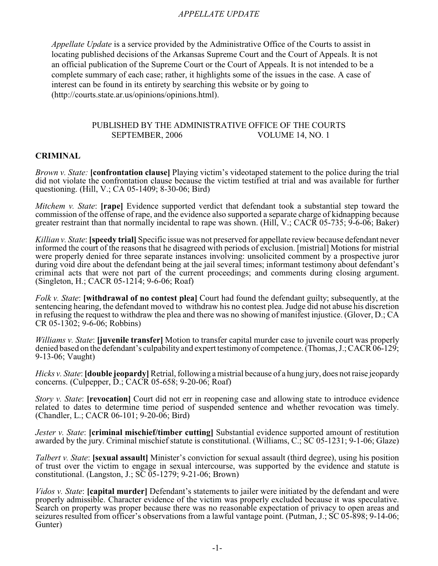### *APPELLATE UPDATE*

*Appellate Update* is a service provided by the Administrative Office of the Courts to assist in locating published decisions of the Arkansas Supreme Court and the Court of Appeals. It is not an official publication of the Supreme Court or the Court of Appeals. It is not intended to be a complete summary of each case; rather, it highlights some of the issues in the case. A case of interest can be found in its entirety by searching this website or by going to (http://courts.state.ar.us/opinions/opinions.html).

### PUBLISHED BY THE ADMINISTRATIVE OFFICE OF THE COURTS SEPTEMBER, 2006 VOLUME 14, NO. 1

#### **CRIMINAL**

*Brown v. State:* **[confrontation clause]** Playing victim's videotaped statement to the police during the trial did not violate the confrontation clause because the victim testified at trial and was available for further questioning. (Hill, V.; CA 05-1409; 8-30-06; Bird)

*Mitchem v. State*: **[rape]** Evidence supported verdict that defendant took a substantial step toward the commission of the offense of rape, and the evidence also supported a separate charge of kidnapping because greater restraint than that normally incidental to rape was shown. (Hill, V.; CACR 05-735; 9-6-06; Baker)

*Killian v. State*: **[speedy trial]** Specific issue was not preserved for appellate review because defendant never informed the court of the reasons that he disagreed with periods of exclusion. [mistrial] Motions for mistrial were properly denied for three separate instances involving: unsolicited comment by a prospective juror during void dire about the defendant being at the jail several times; informant testimony about defendant's criminal acts that were not part of the current proceedings; and comments during closing argument. (Singleton, H.; CACR 05-1214; 9-6-06; Roaf)

*Folk v. State*: **[withdrawal of no contest plea]** Court had found the defendant guilty; subsequently, at the sentencing hearing, the defendant moved to withdraw his no contest plea. Judge did not abuse his discretion in refusing the request to withdraw the plea and there was no showing of manifest injustice. (Glover, D.; CA CR 05-1302; 9-6-06; Robbins)

*Williams v. State*: **[juvenile transfer]** Motion to transfer capital murder case to juvenile court was properly denied based on the defendant's culpability and expert testimony of competence. (Thomas, J.; CACR 06-129; 9-13-06; Vaught)

*Hicks v. State*: **[double jeopardy]** Retrial, following a mistrial because of a hung jury, does not raise jeopardy concerns. (Culpepper, D.; CACR 05-658; 9-20-06; Roaf)

*Story v. State*: **[revocation]** Court did not err in reopening case and allowing state to introduce evidence related to dates to determine time period of suspended sentence and whether revocation was timely. (Chandler, L.; CACR 06-101; 9-20-06; Bird)

*Jester v. State*: **[criminal mischief/timber cutting]** Substantial evidence supported amount of restitution awarded by the jury. Criminal mischief statute is constitutional. (Williams, C.; SC 05-1231; 9-1-06; Glaze)

*Talbert v. State*: **[sexual assault]** Minister's conviction for sexual assault (third degree), using his position of trust over the victim to engage in sexual intercourse, was supported by the evidence and statute is constitutional. (Langston, J.;  $S\overline{C}$  05-1279; 9-21-06; Brown)

*Vidos v. State*: **[capital murder]** Defendant's statements to jailer were initiated by the defendant and were properly admissible. Character evidence of the victim was properly excluded because it was speculative. Search on property was proper because there was no reasonable expectation of privacy to open areas and seizures resulted from officer's observations from a lawful vantage point. (Putman, J.; SC 05-898; 9-14-06; Gunter)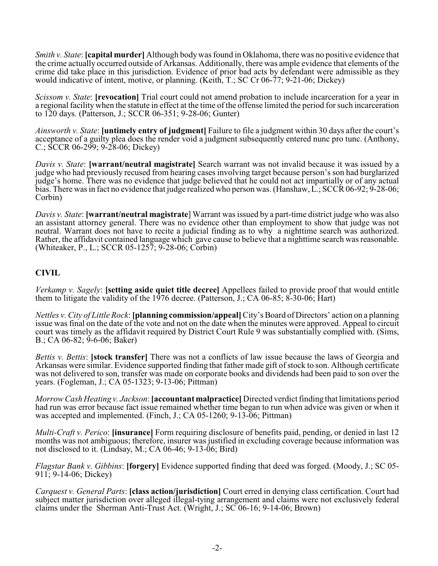*Smith v. State*: **[capital murder]** Although body was found in Oklahoma, there was no positive evidence that the crime actually occurred outside of Arkansas. Additionally, there was ample evidence that elements of the crime did take place in this jurisdiction. Evidence of prior bad acts by defendant were admissible as they would indicative of intent, motive, or planning. (Keith, T.; SC Cr 06-77; 9-21-06; Dickey)

*Scissom v. State*: **[revocation]** Trial court could not amend probation to include incarceration for a year in a regional facility when the statute in effect at the time of the offense limited the period for such incarceration to 120 days. (Patterson, J.; SCCR 06-351; 9-28-06; Gunter)

*Ainsworth v. State*: **[untimely entry of judgment]** Failure to file a judgment within 30 days after the court's acceptance of a guilty plea does the render void a judgment subsequently entered nunc pro tunc. (Anthony, C.; SCCR 06-299; 9-28-06; Dickey)

*Davis v. State*: **[warrant/neutral magistrate]** Search warrant was not invalid because it was issued by a judge who had previously recused from hearing cases involving target because person's son had burglarized judge's home. There was no evidence that judge believed that he could not act impartially or of any actual bias. There was in fact no evidence that judge realized who person was. (Hanshaw, L.; SCCR 06-92; 9-28-06; Corbin)

*Davis v. State*: **[warrant/neutral magistrate**] Warrant was issued by a part-time district judge who was also an assistant attorney general. There was no evidence other than employment to show that judge was not neutral. Warrant does not have to recite a judicial finding as to why a nighttime search was authorized. Rather, the affidavit contained language which gave cause to believe that a nighttime search was reasonable. (Whiteaker, P., L.; SCCR 05-1257; 9-28-06; Corbin)

# **CIVIL**

*Verkamp v. Sagely*: **[setting aside quiet title decree]** Appellees failed to provide proof that would entitle them to litigate the validity of the 1976 decree. (Patterson, J.; CA 06-85;  $\overline{8}$ -30-06; Hart)

*Nettles v. City of Little Rock*: **[planning commission/appeal]** City's Board of Directors' action on a planning issue was final on the date of the vote and not on the date when the minutes were approved. Appeal to circuit court was timely as the affidavit required by District Court Rule 9 was substantially complied with. (Sims, B.; CA 06-82; 9-6-06; Baker)

*Bettis v. Bettis*: **[stock transfer]** There was not a conflicts of law issue because the laws of Georgia and Arkansas were similar. Evidence supported finding that father made gift of stock to son. Although certificate was not delivered to son, transfer was made on corporate books and dividends had been paid to son over the years. (Fogleman, J.; CA 05-1323; 9-13-06; Pittman)

*Morrow Cash Heating v. Jackson*: **[accountant malpractice]** Directed verdict finding that limitations period had run was error because fact issue remained whether time began to run when advice was given or when it was accepted and implemented. (Finch, J.; CA 05-1260; 9-13-06; Pittman)

*Multi-Craft v. Perico*: **[insurance]** Form requiring disclosure of benefits paid, pending, or denied in last 12 months was not ambiguous; therefore, insurer was justified in excluding coverage because information was not disclosed to it. (Lindsay, M.; CA  $06-46$ ; 9-13- $06$ ; Bird)

*Flagstar Bank v. Gibbins*: **[forgery]** Evidence supported finding that deed was forged. (Moody, J.; SC 05- 911; 9-14-06; Dickey)

*Carquest v. General Parts*: **[class action/jurisdiction]** Court erred in denying class certification. Court had subject matter jurisdiction over alleged illegal-tying arrangement and claims were not exclusively federal claims under the Sherman Anti-Trust Act. (Wright, J.; SC 06-16; 9-14-06; Brown)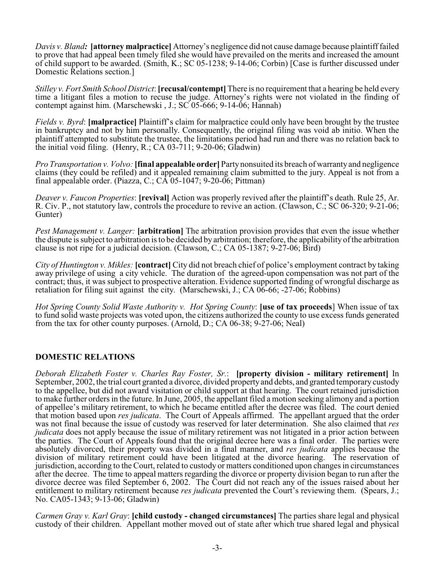*Davis v. Bland:* **[attorney malpractice]** Attorney's negligence did not cause damage because plaintiff failed to prove that had appeal been timely filed she would have prevailed on the merits and increased the amount of child support to be awarded. (Smith, K.; SC 05-1238; 9-14-06; Corbin) [Case is further discussed under Domestic Relations section.]

*Stilley v. Fort Smith School District*: **[recusal/contempt]** There is no requirement that a hearing be held every time a litigant files a motion to recuse the judge. Attorney's rights were not violated in the finding of contempt against him. (Marschewski , J.; SC 05-666; 9-14-06; Hannah)

*Fields v. Byrd*: **[malpractice]** Plaintiff's claim for malpractice could only have been brought by the trustee in bankruptcy and not by him personally. Consequently, the original filing was void ab initio. When the plaintiff attempted to substitute the trustee, the limitations period had run and there was no relation back to the initial void filing. (Henry, R.; CA 03-711;  $9-20-06$ ; Gladwin)

*Pro Transportation v. Volvo:* **[final appealable order]** Partynonsuited its breach of warranty and negligence claims (they could be refiled) and it appealed remaining claim submitted to the jury. Appeal is not from a final appealable order. (Piazza, C.; CA 05-1047;  $9-20-06$ ; Pittman)

*Deaver v. Faucon Properties*: **[revival]** Action was properly revived after the plaintiff's death. Rule 25, Ar. R. Civ. P., not statutory law, controls the procedure to revive an action. (Clawson, C.; SC 06-320; 9-21-06; Gunter)

*Pest Management v. Langer:* [arbitration] The arbitration provision provides that even the issue whether the dispute is subject to arbitration is to be decided by arbitration; therefore, the applicability of the arbitration clause is not ripe for a judicial decision. (Clawson, C.; CA 05-1387; 9-27-06; Bird)

*City of Huntington v. Mikles:* **[contract]** City did not breach chief of police's employment contract by taking away privilege of using a city vehicle. The duration of the agreed-upon compensation was not part of the contract; thus, it was subject to prospective alteration. Evidence supported finding of wrongful discharge as retaliation for filing suit against the city. (Marschewski, J.; CA 06-66; -27-06; Robbins)

*Hot Spring County Solid Waste Authority v. Hot Spring County*: **[use of tax proceeds**] When issue of tax to fund solid waste projects was voted upon, the citizens authorized the county to use excess funds generated from the tax for other county purposes. (Arnold, D.; CA 06-38; 9-27-06; Neal)

### **DOMESTIC RELATIONS**

*Deborah Elizabeth Foster v. Charles Ray Foster, Sr.*: **[property division - military retirement]** In September, 2002, the trial court granted a divorce, divided propertyand debts, and granted temporary custody to the appellee, but did not award visitation or child support at that hearing. The court retained jurisdiction to make further orders in the future. In June, 2005, the appellant filed a motion seeking alimony and a portion of appellee's military retirement, to which he became entitled after the decree was filed. The court denied that motion based upon *res judicata*. The Court of Appeals affirmed. The appellant argued that the order was not final because the issue of custody was reserved for later determination. She also claimed that *res judicata* does not apply because the issue of military retirement was not litigated in a prior action between the parties. The Court of Appeals found that the original decree here was a final order. The parties were absolutely divorced, their property was divided in a final manner, and *res judicata* applies because the division of military retirement could have been litigated at the divorce hearing. The reservation of jurisdiction, according to the Court, related to custody or matters conditioned upon changes in circumstances after the decree. The time to appeal matters regarding the divorce or property division began to run after the divorce decree was filed September 6, 2002. The Court did not reach any of the issues raised about her entitlement to military retirement because *res judicata* prevented the Court's reviewing them. (Spears, J.; No. CA05-1343; 9-13-06; Gladwin)

*Carmen Gray v. Karl Gray*: **[child custody - changed circumstances]** The parties share legal and physical custody of their children. Appellant mother moved out of state after which true shared legal and physical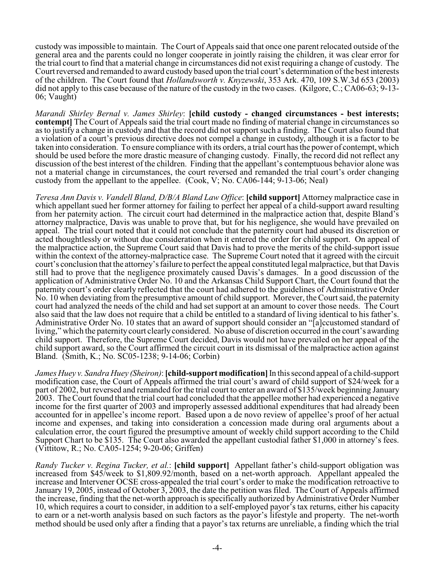custody was impossible to maintain. The Court of Appeals said that once one parent relocated outside of the general area and the parents could no longer cooperate in jointly raising the children, it was clear error for the trial court to find that a material change in circumstances did not exist requiring a change of custody. The Court reversed and remanded to award custody based upon the trial court's determination of the best interests of the children. The Court found that *Hollandsworth v. Knyzewski*, 353 Ark. 470, 109 S.W.3d 653 (2003) did not apply to this case because of the nature of the custody in the two cases. (Kilgore, C.; CA06-63; 9-13- 06; Vaught)

*Marandi Shirley Bernal v. James Shirley*: **[child custody - changed circumstances - best interests; contempt**] The Court of Appeals said the trial court made no finding of material change in circumstances so as to justify a change in custody and that the record did not support such a finding. The Court also found that a violation of a court's previous directive does not compel a change in custody, although it is a factor to be taken into consideration. To ensure compliance with its orders, a trial court has the power of contempt, which should be used before the more drastic measure of changing custody. Finally, the record did not reflect any discussion of the best interest of the children. Finding that the appellant's contemptuous behavior alone was not a material change in circumstances, the court reversed and remanded the trial court's order changing custody from the appellant to the appellee. (Cook, V; No. CA06-144; 9-13-06; Neal)

*Teresa Ann Davis v. Vandell Bland, D/B/A Bland Law Office*: **[child support]** Attorney malpractice case in which appellant sued her former attorney for failing to perfect her appeal of a child-support award resulting from her paternity action. The circuit court had determined in the malpractice action that, despite Bland's attorney malpractice, Davis was unable to prove that, but for his negligence, she would have prevailed on appeal. The trial court noted that it could not conclude that the paternity court had abused its discretion or acted thoughtlessly or without due consideration when it entered the order for child support. On appeal of the malpractice action, the Supreme Court said that Davis had to prove the merits of the child-support issue within the context of the attorney-malpractice case. The Supreme Court noted that it agreed with the circuit court's conclusion that the attorney's failure to perfect the appeal constituted legal malpractice, but that Davis still had to prove that the negligence proximately caused Davis's damages. In a good discussion of the application of Administrative Order No. 10 and the Arkansas Child Support Chart, the Court found that the paternity court's order clearly reflected that the court had adhered to the guidelines of Administrative Order No. 10 when deviating from the presumptive amount of child support. Morever, the Court said, the paternity court had analyzed the needs of the child and had set support at an amount to cover those needs. The Court also said that the law does not require that a child be entitled to a standard of living identical to his father's. Administrative Order No. 10 states that an award of support should consider an "[a]ccustomed standard of living," which the paternity court clearly considered. No abuse of discretion occurred in the court's awarding child support. Therefore, the Supreme Court decided, Davis would not have prevailed on her appeal of the child support award, so the Court affirmed the circuit court in its dismissal of the malpractice action against Bland. (Smith, K.; No. SC05-1238; 9-14-06; Corbin)

*James Huey v. Sandra Huey (Sheiron)*: **[child-support modification]** In this second appeal of a child-support modification case, the Court of Appeals affirmed the trial court's award of child support of \$24/week for a part of 2002, but reversed and remanded for the trial court to enter an award of \$135/week beginning January 2003. The Court found that the trial court had concluded that the appellee mother had experienced a negative income for the first quarter of 2003 and improperly assessed additional expenditures that had already been accounted for in appellee's income report. Based upon a de novo review of appellee's proof of her actual income and expenses, and taking into consideration a concession made during oral arguments about a calculation error, the court figured the presumptive amount of weekly child support according to the Child Support Chart to be \$135. The Court also awarded the appellant custodial father \$1,000 in attorney's fees. (Vittitow, R.; No. CA05-1254; 9-20-06; Griffen)

*Randy Tucker v. Regina Tucker, et al.*: **[child support]** Appellant father's child-support obligation was increased from \$45/week to \$1,809.92/month, based on a net-worth approach. Appellant appealed the increase and Intervener OCSE cross-appealed the trial court's order to make the modification retroactive to January 19, 2005, instead of October 3, 2003, the date the petition was filed. The Court of Appeals affirmed the increase, finding that the net-worth approach is specifically authorized by Administrative Order Number 10, which requires a court to consider, in addition to a self-employed payor's tax returns, either his capacity to earn or a net-worth analysis based on such factors as the payor's lifestyle and property. The net-worth method should be used only after a finding that a payor's tax returns are unreliable, a finding which the trial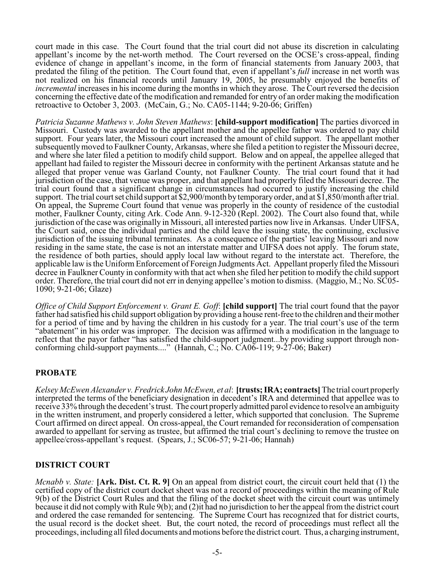court made in this case. The Court found that the trial court did not abuse its discretion in calculating appellant's income by the net-worth method. The Court reversed on the OCSE's cross-appeal, finding evidence of change in appellant's income, in the form of financial statements from January 2003, that predated the filing of the petition. The Court found that, even if appellant's *full* increase in net worth was not realized on his financial records until January 19, 2005, he presumably enjoyed the benefits of *incremental* increases in his income during the months in which they arose. The Court reversed the decision concerning the effective date of the modification and remanded for entry of an order making the modification retroactive to October 3, 2003. (McCain, G.; No. CA05-1144; 9-20-06; Griffen)

*Patricia Suzanne Mathews v. John Steven Mathews*: **[child-support modification]** The parties divorced in Missouri. Custody was awarded to the appellant mother and the appellee father was ordered to pay child support. Four years later, the Missouri court increased the amount of child support. The appellant mother subsequently moved to Faulkner County, Arkansas, where she filed a petition to register the Missouri decree, and where she later filed a petition to modify child support. Below and on appeal, the appellee alleged that appellant had failed to register the Missouri decree in conformity with the pertinent Arkansas statute and he alleged that proper venue was Garland County, not Faulkner County. The trial court found that it had jurisdiction of the case, that venue was proper, and that appellant had properly filed the Missouri decree. The trial court found that a significant change in circumstances had occurred to justify increasing the child support. The trial court set child support at \$2,900/month by temporary order, and at \$1,850/month after trial. On appeal, the Supreme Court found that venue was properly in the county of residence of the custodial mother, Faulkner County, citing Ark. Code Ann. 9-12-320 (Repl. 2002). The Court also found that, while jurisdiction of the case was originally in Missouri, all interested parties now live in Arkansas. Under UIFSA, the Court said, once the individual parties and the child leave the issuing state, the continuing, exclusive jurisdiction of the issuing tribunal terminates. As a consequence of the parties' leaving Missouri and now residing in the same state, the case is not an interstate matter and UIFSA does not apply. The forum state, the residence of both parties, should apply local law without regard to the interstate act. Therefore, the applicable law is the Uniform Enforcement of Foreign Judgments Act. Appellant properly filed the Missouri decree in Faulkner County in conformity with that act when she filed her petition to modify the child support order. Therefore, the trial court did not err in denying appellee's motion to dismiss. (Maggio, M.; No. SC05- 1090; 9-21-06; Glaze)

*Office of Child Support Enforcement v. Grant E. Goff*: **[child support]** The trial court found that the payor father had satisfied his child support obligation by providing a house rent-free to the children and their mother for a period of time and by having the children in his custody for a year. The trial court's use of the term "abatement" in his order was improper. The decision was affirmed with a modification in the language to reflect that the payor father "has satisfied the child-support judgment...by providing support through nonconforming child-support payments...." (Hannah, C.; No. CA06-119; 9-27-06; Baker)

### **PROBATE**

*Kelsey McEwen Alexander v. Fredrick John McEwen, et al*: **[trusts; IRA; contracts]** The trial court properly interpreted the terms of the beneficiary designation in decedent's IRA and determined that appellee was to receive 33% through the decedent's trust. The court properly admitted parol evidence to resolve an ambiguity in the written instrument, and properly considered a letter, which supported that conclusion. The Supreme Court affirmed on direct appeal. On cross-appeal, the Court remanded for reconsideration of compensation awarded to appellant for serving as trustee, but affirmed the trial court's declining to remove the trustee on appellee/cross-appellant's request. (Spears, J.; SC06-57; 9-21-06; Hannah)

### **DISTRICT COURT**

*Mcnabb v. State:* **[Ark. Dist. Ct. R. 9]** On an appeal from district court, the circuit court held that (1) the certified copy of the district court docket sheet was not a record of proceedings within the meaning of Rule 9(b) of the District Court Rules and that the filing of the docket sheet with the circuit court was untimely because it did not comply with Rule 9(b); and (2)it had no jurisdiction to her the appeal from the district court and ordered the case remanded for sentencing. The Supreme Court has recognized that for district courts, the usual record is the docket sheet. But, the court noted, the record of proceedings must reflect all the proceedings, including all filed documents and motions before the district court. Thus, a charging instrument,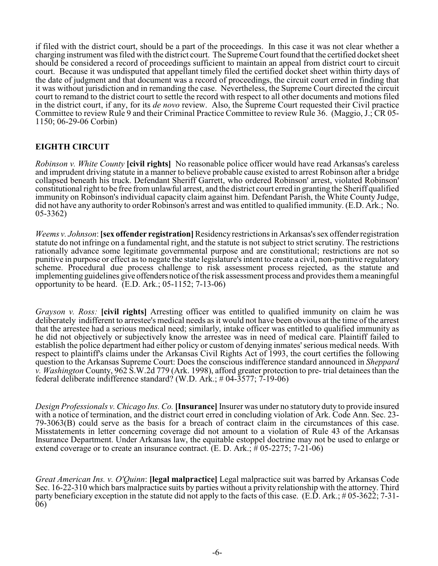if filed with the district court, should be a part of the proceedings. In this case it was not clear whether a charging instrument was filed with the district court. The Supreme Court found that the certified docket sheet should be considered a record of proceedings sufficient to maintain an appeal from district court to circuit court. Because it was undisputed that appellant timely filed the certified docket sheet within thirty days of the date of judgment and that document was a record of proceedings, the circuit court erred in finding that it was without jurisdiction and in remanding the case. Nevertheless, the Supreme Court directed the circuit court to remand to the district court to settle the record with respect to all other documents and motions filed in the district court, if any, for its *de novo* review. Also, the Supreme Court requested their Civil practice Committee to review Rule 9 and their Criminal Practice Committee to review Rule 36. (Maggio, J.; CR 05- 1150; 06-29-06 Corbin)

# **EIGHTH CIRCUIT**

*Robinson v. White County* **[civil rights]** No reasonable police officer would have read Arkansas's careless and imprudent driving statute in a manner to believe probable cause existed to arrest Robinson after a bridge collapsed beneath his truck. Defendant Sheriff Garrett, who ordered Robinson' arrest, violated Robinson' constitutional right to be free from unlawful arrest, and the district court erred in granting the Sheriff qualified immunity on Robinson's individual capacity claim against him. Defendant Parish, the White County Judge, did not have any authority to order Robinson's arrest and was entitled to qualified immunity. (E.D. Ark.; No. 05-3362)

*Weems v. Johnson*: **[sex offender registration]** Residency restrictions in Arkansas's sex offender registration statute do not infringe on a fundamental right, and the statute is not subject to strict scrutiny. The restrictions rationally advance some legitimate governmental purpose and are constitutional; restrictions are not so punitive in purpose or effect as to negate the state legislature's intent to create a civil, non-punitive regulatory scheme. Procedural due process challenge to risk assessment process rejected, as the statute and implementing guidelines give offenders notice of the risk assessment process and provides them a meaningful opportunity to be heard. (E.D. Ark.; 05-1152; 7-13-06)

*Grayson v. Ross:* **[civil rights]** Arresting officer was entitled to qualified immunity on claim he was deliberately indifferent to arrestee's medical needs as it would not have been obvious at the time of the arrest that the arrestee had a serious medical need; similarly, intake officer was entitled to qualified immunity as he did not objectively or subjectively know the arrestee was in need of medical care. Plaintiff failed to establish the police department had either policy or custom of denying inmates'serious medical needs. With respect to plaintiff's claims under the Arkansas Civil Rights Act of 1993, the court certifies the following question to the Arkansas Supreme Court: Does the conscious indifference standard announced in *Sheppard v. Washington* County, 962 S.W.2d 779 (Ark. 1998), afford greater protection to pre- trial detainees than the federal deliberate indifference standard? (W.D. Ark.:  $\#$  04-3577: 7-19-06)

*Design Professionals v. Chicago Ins. Co.* **[Insurance]** Insurer was under no statutory duty to provide insured with a notice of termination, and the district court erred in concluding violation of Ark. Code Ann. Sec. 23- 79-3063(B) could serve as the basis for a breach of contract claim in the circumstances of this case. Misstatements in letter concerning coverage did not amount to a violation of Rule 43 of the Arkansas Insurance Department. Under Arkansas law, the equitable estoppel doctrine may not be used to enlarge or extend coverage or to create an insurance contract. (E. D. Ark.;  $\frac{4}{7}$  05-2275; 7-21-06)

*Great American Ins. v. O'Quinn*: **[legal malpractice]** Legal malpractice suit was barred by Arkansas Code Sec. 16-22-310 which bars malpractice suits by parties without a privity relationship with the attorney. Third party beneficiary exception in the statute did not apply to the facts of this case. (E.D. Ark.; # 05-3622; 7-31- 06)